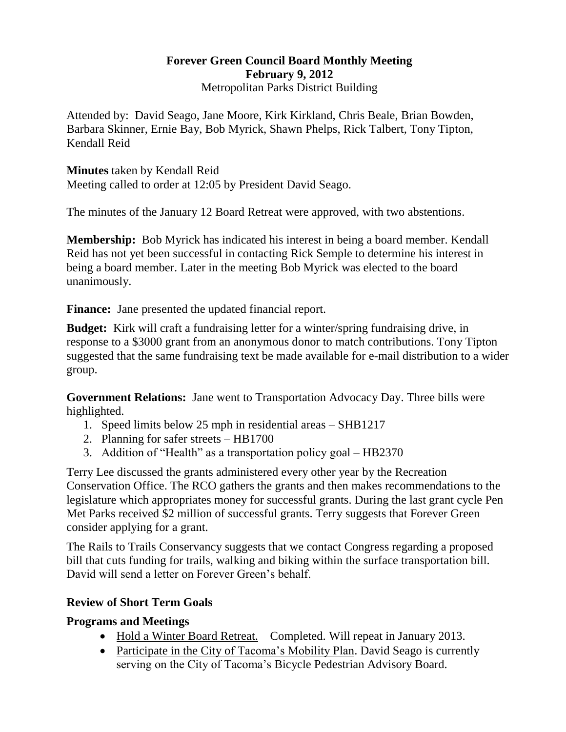### **Forever Green Council Board Monthly Meeting February 9, 2012** Metropolitan Parks District Building

Attended by: David Seago, Jane Moore, Kirk Kirkland, Chris Beale, Brian Bowden, Barbara Skinner, Ernie Bay, Bob Myrick, Shawn Phelps, Rick Talbert, Tony Tipton, Kendall Reid

**Minutes** taken by Kendall Reid Meeting called to order at 12:05 by President David Seago.

The minutes of the January 12 Board Retreat were approved, with two abstentions.

**Membership:** Bob Myrick has indicated his interest in being a board member. Kendall Reid has not yet been successful in contacting Rick Semple to determine his interest in being a board member. Later in the meeting Bob Myrick was elected to the board unanimously.

Finance: Jane presented the updated financial report.

**Budget:** Kirk will craft a fundraising letter for a winter/spring fundraising drive, in response to a \$3000 grant from an anonymous donor to match contributions. Tony Tipton suggested that the same fundraising text be made available for e-mail distribution to a wider group.

**Government Relations:** Jane went to Transportation Advocacy Day. Three bills were highlighted.

- 1. Speed limits below 25 mph in residential areas SHB1217
- 2. Planning for safer streets HB1700
- 3. Addition of "Health" as a transportation policy goal HB2370

Terry Lee discussed the grants administered every other year by the Recreation Conservation Office. The RCO gathers the grants and then makes recommendations to the legislature which appropriates money for successful grants. During the last grant cycle Pen Met Parks received \$2 million of successful grants. Terry suggests that Forever Green consider applying for a grant.

The Rails to Trails Conservancy suggests that we contact Congress regarding a proposed bill that cuts funding for trails, walking and biking within the surface transportation bill. David will send a letter on Forever Green's behalf.

# **Review of Short Term Goals**

# **Programs and Meetings**

- Hold a Winter Board Retreat.Completed. Will repeat in January 2013.
- Participate in the City of Tacoma's Mobility Plan. David Seago is currently serving on the City of Tacoma's Bicycle Pedestrian Advisory Board.